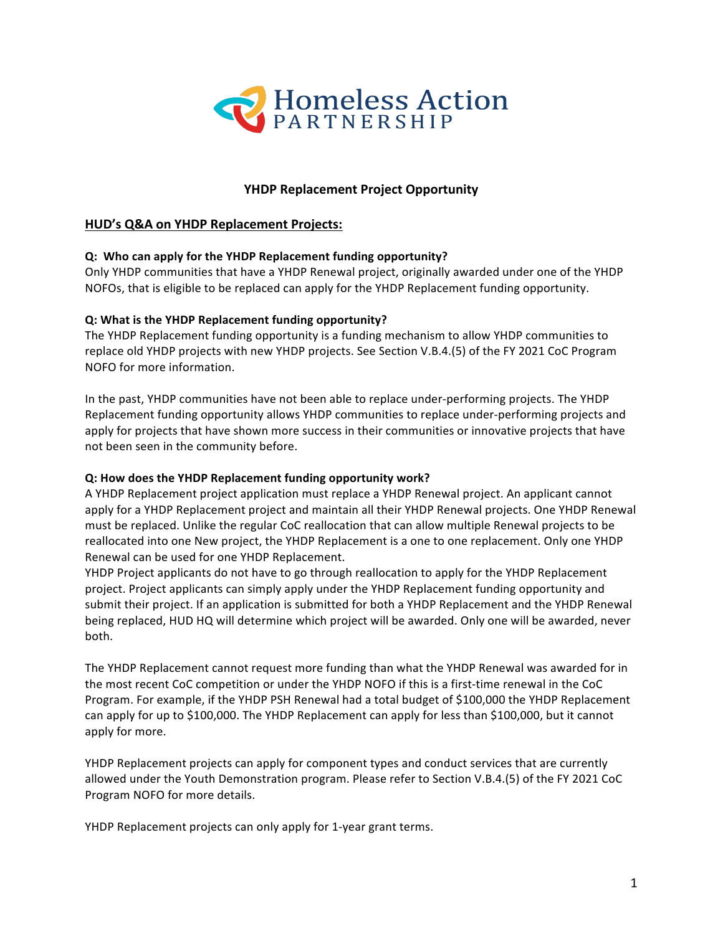

# **YHDP Replacement Project Opportunity**

### **HUD's Q&A on YHDP Replacement Projects:**

#### **Q:** Who can apply for the YHDP Replacement funding opportunity?

Only YHDP communities that have a YHDP Renewal project, originally awarded under one of the YHDP NOFOs, that is eligible to be replaced can apply for the YHDP Replacement funding opportunity.

#### **Q:** What is the YHDP Replacement funding opportunity?

The YHDP Replacement funding opportunity is a funding mechanism to allow YHDP communities to replace old YHDP projects with new YHDP projects. See Section V.B.4.(5) of the FY 2021 CoC Program NOFO for more information.

In the past, YHDP communities have not been able to replace under-performing projects. The YHDP Replacement funding opportunity allows YHDP communities to replace under-performing projects and apply for projects that have shown more success in their communities or innovative projects that have not been seen in the community before.

#### **Q: How does the YHDP Replacement funding opportunity work?**

A YHDP Replacement project application must replace a YHDP Renewal project. An applicant cannot apply for a YHDP Replacement project and maintain all their YHDP Renewal projects. One YHDP Renewal must be replaced. Unlike the regular CoC reallocation that can allow multiple Renewal projects to be reallocated into one New project, the YHDP Replacement is a one to one replacement. Only one YHDP Renewal can be used for one YHDP Replacement.

YHDP Project applicants do not have to go through reallocation to apply for the YHDP Replacement project. Project applicants can simply apply under the YHDP Replacement funding opportunity and submit their project. If an application is submitted for both a YHDP Replacement and the YHDP Renewal being replaced, HUD HQ will determine which project will be awarded. Only one will be awarded, never both. 

The YHDP Replacement cannot request more funding than what the YHDP Renewal was awarded for in the most recent CoC competition or under the YHDP NOFO if this is a first-time renewal in the CoC Program. For example, if the YHDP PSH Renewal had a total budget of \$100,000 the YHDP Replacement can apply for up to \$100,000. The YHDP Replacement can apply for less than \$100,000, but it cannot apply for more.

YHDP Replacement projects can apply for component types and conduct services that are currently allowed under the Youth Demonstration program. Please refer to Section V.B.4.(5) of the FY 2021 CoC Program NOFO for more details.

YHDP Replacement projects can only apply for 1-year grant terms.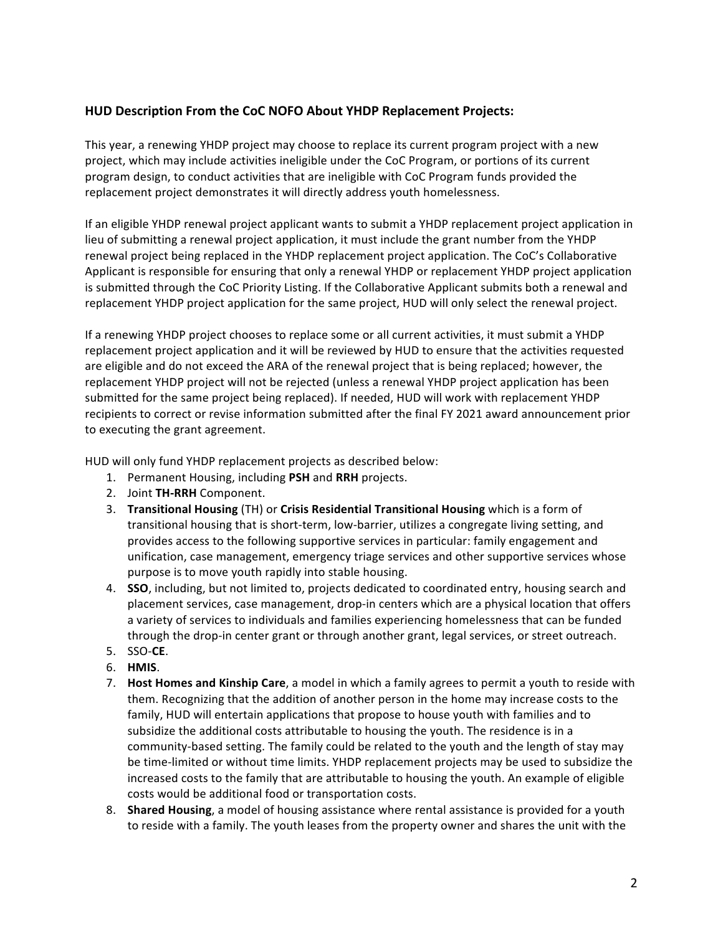## **HUD Description From the CoC NOFO About YHDP Replacement Projects:**

This year, a renewing YHDP project may choose to replace its current program project with a new project, which may include activities ineligible under the CoC Program, or portions of its current program design, to conduct activities that are ineligible with CoC Program funds provided the replacement project demonstrates it will directly address youth homelessness.

If an eligible YHDP renewal project applicant wants to submit a YHDP replacement project application in lieu of submitting a renewal project application, it must include the grant number from the YHDP renewal project being replaced in the YHDP replacement project application. The CoC's Collaborative Applicant is responsible for ensuring that only a renewal YHDP or replacement YHDP project application is submitted through the CoC Priority Listing. If the Collaborative Applicant submits both a renewal and replacement YHDP project application for the same project, HUD will only select the renewal project.

If a renewing YHDP project chooses to replace some or all current activities, it must submit a YHDP replacement project application and it will be reviewed by HUD to ensure that the activities requested are eligible and do not exceed the ARA of the renewal project that is being replaced; however, the replacement YHDP project will not be rejected (unless a renewal YHDP project application has been submitted for the same project being replaced). If needed, HUD will work with replacement YHDP recipients to correct or revise information submitted after the final FY 2021 award announcement prior to executing the grant agreement.

HUD will only fund YHDP replacement projects as described below:

- 1. Permanent Housing, including PSH and RRH projects.
- 2. Joint TH-RRH Component.
- 3. **Transitional Housing** (TH) or **Crisis Residential Transitional Housing** which is a form of transitional housing that is short-term, low-barrier, utilizes a congregate living setting, and provides access to the following supportive services in particular: family engagement and unification, case management, emergency triage services and other supportive services whose purpose is to move youth rapidly into stable housing.
- 4. **SSO**, including, but not limited to, projects dedicated to coordinated entry, housing search and placement services, case management, drop-in centers which are a physical location that offers a variety of services to individuals and families experiencing homelessness that can be funded through the drop-in center grant or through another grant, legal services, or street outreach.
- 5. SSO-**CE**.
- 6. **HMIS**.
- 7. **Host Homes and Kinship Care**, a model in which a family agrees to permit a youth to reside with them. Recognizing that the addition of another person in the home may increase costs to the family, HUD will entertain applications that propose to house youth with families and to subsidize the additional costs attributable to housing the youth. The residence is in a community-based setting. The family could be related to the youth and the length of stay may be time-limited or without time limits. YHDP replacement projects may be used to subsidize the increased costs to the family that are attributable to housing the youth. An example of eligible costs would be additional food or transportation costs.
- 8. **Shared Housing**, a model of housing assistance where rental assistance is provided for a youth to reside with a family. The youth leases from the property owner and shares the unit with the